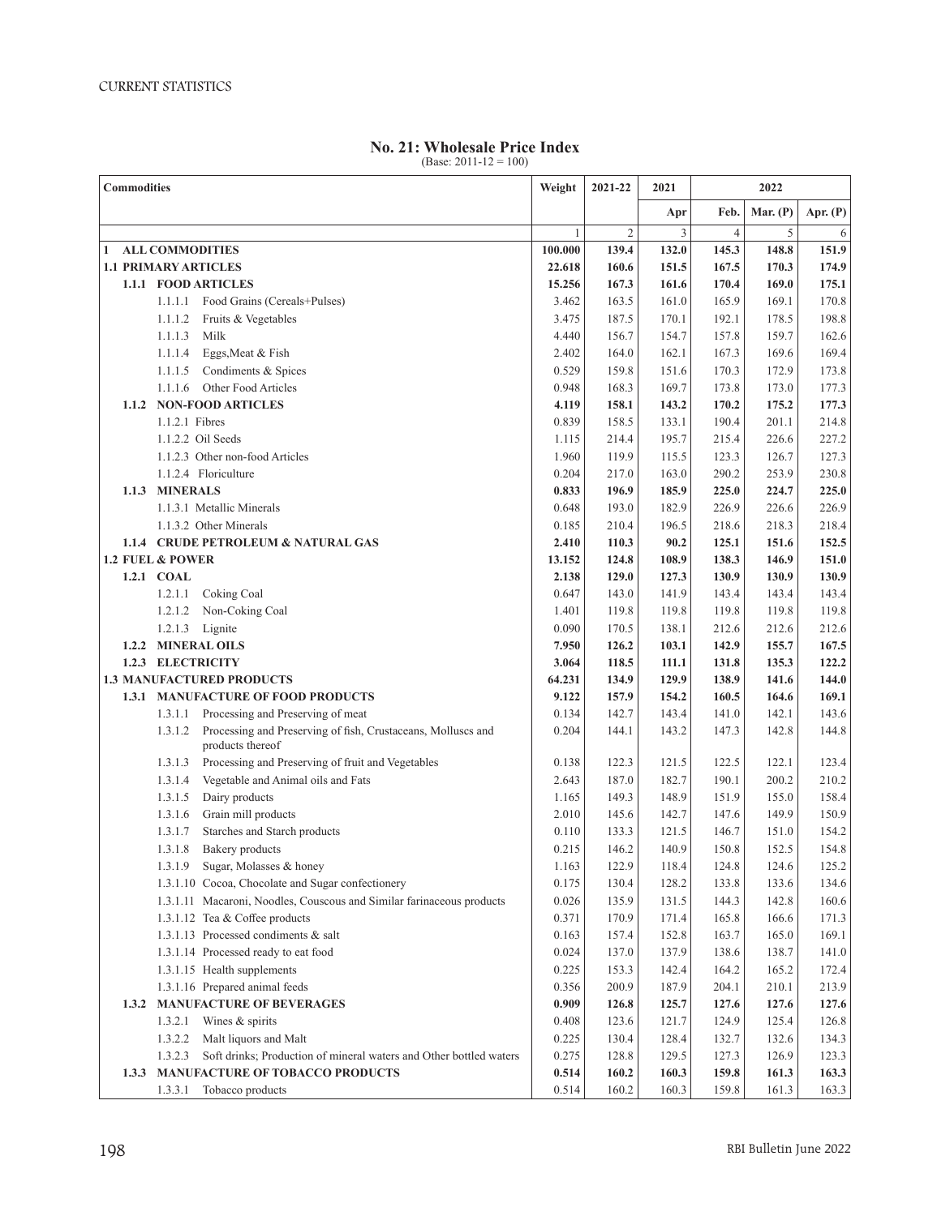| <b>No. 21: Wholesale Price Index</b> |  |
|--------------------------------------|--|
| (Base: $2011 - 12 = 100$ )           |  |

| <b>Commodities</b>                     |                                                                                             | Weight       | 2021-22        | 2021           | 2022           |            |            |
|----------------------------------------|---------------------------------------------------------------------------------------------|--------------|----------------|----------------|----------------|------------|------------|
|                                        |                                                                                             |              |                | Apr            | Feb.           | Mar. $(P)$ | Apr. $(P)$ |
|                                        |                                                                                             | $\mathbf{1}$ | $\mathfrak{2}$ | $\overline{3}$ | $\overline{4}$ | 5          | 6          |
| <b>ALL COMMODITIES</b><br>$\mathbf{1}$ |                                                                                             | 100.000      | 139.4          | 132.0          | 145.3          | 148.8      | 151.9      |
| <b>1.1 PRIMARY ARTICLES</b>            |                                                                                             | 22.618       | 160.6          | 151.5          | 167.5          | 170.3      | 174.9      |
|                                        | 1.1.1 FOOD ARTICLES                                                                         | 15.256       | 167.3          | 161.6          | 170.4          | 169.0      | 175.1      |
|                                        | 1.1.1.1 Food Grains (Cereals+Pulses)                                                        | 3.462        | 163.5          | 161.0          | 165.9          | 169.1      | 170.8      |
|                                        | 1.1.1.2<br>Fruits & Vegetables                                                              | 3.475        | 187.5          | 170.1          | 192.1          | 178.5      | 198.8      |
|                                        | 1.1.1.3<br>Milk                                                                             | 4.440        | 156.7          | 154.7          | 157.8          | 159.7      | 162.6      |
|                                        | 1.1.1.4<br>Eggs, Meat & Fish                                                                | 2.402        | 164.0          | 162.1          | 167.3          | 169.6      | 169.4      |
|                                        | Condiments & Spices<br>1.1.1.5                                                              | 0.529        | 159.8          | 151.6          | 170.3          | 172.9      | 173.8      |
|                                        | 1.1.1.6<br>Other Food Articles                                                              | 0.948        | 168.3          | 169.7          | 173.8          | 173.0      | 177.3      |
|                                        | 1.1.2 NON-FOOD ARTICLES                                                                     | 4.119        | 158.1          | 143.2          | 170.2          | 175.2      | 177.3      |
|                                        | 1.1.2.1 Fibres                                                                              | 0.839        | 158.5          | 133.1          | 190.4          | 201.1      | 214.8      |
|                                        | 1.1.2.2 Oil Seeds                                                                           | 1.115        | 214.4          | 195.7          | 215.4          | 226.6      | 227.2      |
|                                        | 1.1.2.3 Other non-food Articles                                                             | 1.960        | 119.9          | 115.5          | 123.3          | 126.7      | 127.3      |
|                                        | 1.1.2.4 Floriculture                                                                        | 0.204        | 217.0          | 163.0          | 290.2          | 253.9      | 230.8      |
| 1.1.3                                  | <b>MINERALS</b>                                                                             | 0.833        | 196.9          | 185.9          | 225.0          | 224.7      | 225.0      |
|                                        | 1.1.3.1 Metallic Minerals                                                                   | 0.648        | 193.0          | 182.9          | 226.9          | 226.6      | 226.9      |
|                                        | 1.1.3.2 Other Minerals                                                                      | 0.185        | 210.4          | 196.5          | 218.6          | 218.3      | 218.4      |
|                                        | 1.1.4 CRUDE PETROLEUM & NATURAL GAS                                                         | 2.410        | 110.3          | 90.2           | 125.1          | 151.6      | 152.5      |
|                                        | <b>1.2 FUEL &amp; POWER</b>                                                                 | 13.152       | 124.8          | 108.9          | 138.3          | 146.9      | 151.0      |
|                                        | 1.2.1 COAL                                                                                  | 2.138        | 129.0          | 127.3          | 130.9          | 130.9      | 130.9      |
|                                        | 1.2.1.1<br>Coking Coal                                                                      | 0.647        | 143.0          | 141.9          | 143.4          | 143.4      | 143.4      |
|                                        | Non-Coking Coal<br>1.2.1.2                                                                  | 1.401        | 119.8          | 119.8          | 119.8          | 119.8      | 119.8      |
|                                        | 1.2.1.3 Lignite                                                                             | 0.090        | 170.5          | 138.1          | 212.6          | 212.6      | 212.6      |
| 1.2.2                                  | <b>MINERAL OILS</b>                                                                         | 7.950        | 126.2          | 103.1          | 142.9          | 155.7      | 167.5      |
| 1.2.3 ELECTRICITY                      |                                                                                             | 3.064        | 118.5          | 111.1          | 131.8          | 135.3      | 122.2      |
|                                        | <b>1.3 MANUFACTURED PRODUCTS</b>                                                            | 64.231       | 134.9          | 129.9          | 138.9          | 141.6      | 144.0      |
|                                        | 1.3.1 MANUFACTURE OF FOOD PRODUCTS                                                          | 9.122        | 157.9          | 154.2          | 160.5          | 164.6      | 169.1      |
|                                        | Processing and Preserving of meat<br>1.3.1.1                                                | 0.134        | 142.7          | 143.4          | 141.0          | 142.1      | 143.6      |
|                                        | Processing and Preserving of fish, Crustaceans, Molluscs and<br>1.3.1.2<br>products thereof | 0.204        | 144.1          | 143.2          | 147.3          | 142.8      | 144.8      |
|                                        | 1.3.1.3<br>Processing and Preserving of fruit and Vegetables                                | 0.138        | 122.3          | 121.5          | 122.5          | 122.1      | 123.4      |
|                                        | Vegetable and Animal oils and Fats<br>1.3.1.4                                               | 2.643        | 187.0          | 182.7          | 190.1          | 200.2      | 210.2      |
|                                        | Dairy products<br>1.3.1.5                                                                   | 1.165        | 149.3          | 148.9          | 151.9          | 155.0      | 158.4      |
|                                        | Grain mill products<br>1.3.1.6                                                              | 2.010        | 145.6          | 142.7          | 147.6          | 149.9      | 150.9      |
|                                        | 1.3.1.7<br>Starches and Starch products                                                     | 0.110        | 133.3          | 121.5          | 146.7          | 151.0      | 154.2      |
|                                        | Bakery products<br>1.3.1.8                                                                  | 0.215        | 146.2          | 140.9          | 150.8          | 152.5      | 154.8      |
|                                        | Sugar, Molasses & honey<br>1.3.1.9                                                          | 1.163        | 122.9          | 118.4          | 124.8          | 124.6      | 125.2      |
|                                        | 1.3.1.10 Cocoa, Chocolate and Sugar confectionery                                           | 0.175        | 130.4          | 128.2          | 133.8          | 133.6      | 134.6      |
|                                        | 1.3.1.11 Macaroni, Noodles, Couscous and Similar farinaceous products                       | 0.026        | 135.9          | 131.5          | 144.3          | 142.8      | 160.6      |
|                                        | 1.3.1.12 Tea & Coffee products                                                              | 0.371        | 170.9          | 171.4          | 165.8          | 166.6      | 171.3      |
|                                        | 1.3.1.13 Processed condiments & salt                                                        | 0.163        | 157.4          | 152.8          | 163.7          | 165.0      | 169.1      |
|                                        | 1.3.1.14 Processed ready to eat food                                                        | 0.024        | 137.0          | 137.9          | 138.6          | 138.7      | 141.0      |
|                                        | 1.3.1.15 Health supplements                                                                 | 0.225        | 153.3          | 142.4          | 164.2          | 165.2      | 172.4      |
|                                        | 1.3.1.16 Prepared animal feeds                                                              | 0.356        | 200.9          | 187.9          | 204.1          | 210.1      | 213.9      |
|                                        | <b>1.3.2 MANUFACTURE OF BEVERAGES</b>                                                       | 0.909        | 126.8          | 125.7          | 127.6          | 127.6      | 127.6      |
|                                        | 1.3.2.1<br>Wines & spirits                                                                  | 0.408        | 123.6          | 121.7          | 124.9          | 125.4      | 126.8      |
|                                        | 1.3.2.2<br>Malt liquors and Malt                                                            | 0.225        | 130.4          | 128.4          | 132.7          | 132.6      | 134.3      |
|                                        | Soft drinks; Production of mineral waters and Other bottled waters<br>1.3.2.3               | 0.275        | 128.8          | 129.5          | 127.3          | 126.9      | 123.3      |
| 1.3.3                                  | <b>MANUFACTURE OF TOBACCO PRODUCTS</b>                                                      | 0.514        | 160.2          | 160.3          | 159.8          | 161.3      | 163.3      |
|                                        | 1.3.3.1<br>Tobacco products                                                                 | 0.514        | 160.2          | 160.3          | 159.8          | 161.3      | 163.3      |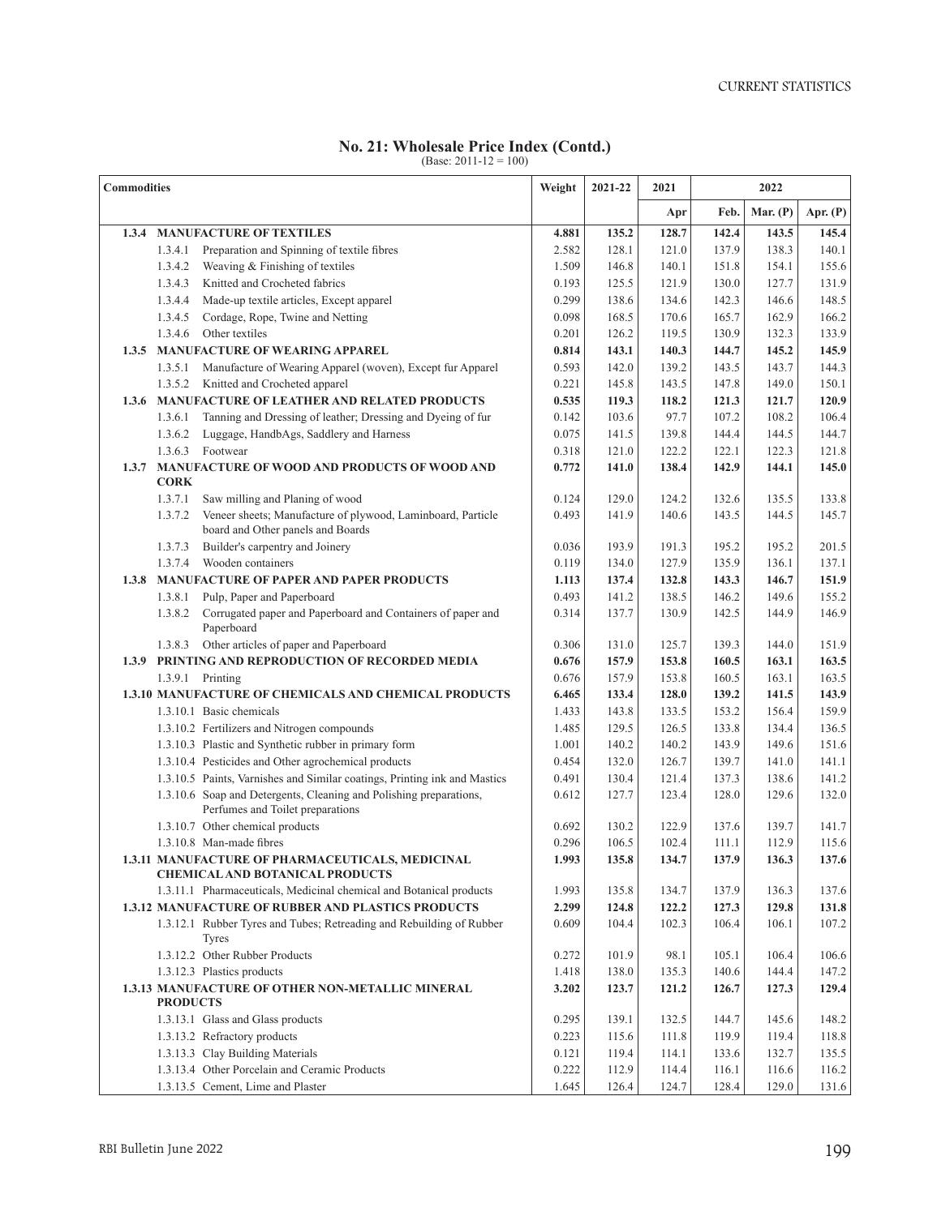## **No. 21: Wholesale Price Index (Contd.)** (Base: 2011-12 = 100)

| <b>Commodities</b> |                 | Weight                                                                                                 | 2021-22 | 2021  | 2022  |       |            |            |
|--------------------|-----------------|--------------------------------------------------------------------------------------------------------|---------|-------|-------|-------|------------|------------|
|                    |                 |                                                                                                        |         |       | Apr   | Feb.  | Mar. $(P)$ | Apr. $(P)$ |
| 1.3.4              |                 | <b>MANUFACTURE OF TEXTILES</b>                                                                         | 4.881   | 135.2 | 128.7 | 142.4 | 143.5      | 145.4      |
|                    | 1.3.4.1         | Preparation and Spinning of textile fibres                                                             | 2.582   | 128.1 | 121.0 | 137.9 | 138.3      | 140.1      |
|                    | 1.3.4.2         | Weaving & Finishing of textiles                                                                        | 1.509   | 146.8 | 140.1 | 151.8 | 154.1      | 155.6      |
|                    | 1.3.4.3         | Knitted and Crocheted fabrics                                                                          | 0.193   | 125.5 | 121.9 | 130.0 | 127.7      | 131.9      |
|                    | 1.3.4.4         | Made-up textile articles, Except apparel                                                               | 0.299   | 138.6 | 134.6 | 142.3 | 146.6      | 148.5      |
|                    | 1.3.4.5         | Cordage, Rope, Twine and Netting                                                                       | 0.098   | 168.5 | 170.6 | 165.7 | 162.9      | 166.2      |
|                    | 1.3.4.6         | Other textiles                                                                                         | 0.201   | 126.2 | 119.5 | 130.9 | 132.3      | 133.9      |
| 1.3.5              |                 | <b>MANUFACTURE OF WEARING APPAREL</b>                                                                  | 0.814   | 143.1 | 140.3 | 144.7 | 145.2      | 145.9      |
|                    | 1.3.5.1         | Manufacture of Wearing Apparel (woven), Except fur Apparel                                             | 0.593   | 142.0 | 139.2 | 143.5 | 143.7      | 144.3      |
|                    | 1.3.5.2         | Knitted and Crocheted apparel                                                                          | 0.221   | 145.8 | 143.5 | 147.8 | 149.0      | 150.1      |
| 1.3.6              |                 | <b>MANUFACTURE OF LEATHER AND RELATED PRODUCTS</b>                                                     | 0.535   | 119.3 | 118.2 | 121.3 | 121.7      | 120.9      |
|                    | 1.3.6.1         | Tanning and Dressing of leather; Dressing and Dyeing of fur                                            | 0.142   | 103.6 | 97.7  | 107.2 | 108.2      | 106.4      |
|                    | 1.3.6.2         | Luggage, HandbAgs, Saddlery and Harness                                                                | 0.075   | 141.5 | 139.8 | 144.4 | 144.5      | 144.7      |
|                    |                 | 1.3.6.3 Footwear                                                                                       | 0.318   | 121.0 | 122.2 | 122.1 | 122.3      | 121.8      |
| 1.3.7              | <b>CORK</b>     | <b>MANUFACTURE OF WOOD AND PRODUCTS OF WOOD AND</b>                                                    | 0.772   | 141.0 | 138.4 | 142.9 | 144.1      | 145.0      |
|                    | 1.3.7.1         | Saw milling and Planing of wood                                                                        | 0.124   | 129.0 | 124.2 | 132.6 | 135.5      | 133.8      |
|                    | 1.3.7.2         | Veneer sheets; Manufacture of plywood, Laminboard, Particle<br>board and Other panels and Boards       | 0.493   | 141.9 | 140.6 | 143.5 | 144.5      | 145.7      |
|                    | 1.3.7.3         | Builder's carpentry and Joinery                                                                        | 0.036   | 193.9 | 191.3 | 195.2 | 195.2      | 201.5      |
|                    | 1.3.7.4         | Wooden containers                                                                                      | 0.119   | 134.0 | 127.9 | 135.9 | 136.1      | 137.1      |
| 1.3.8              |                 | <b>MANUFACTURE OF PAPER AND PAPER PRODUCTS</b>                                                         | 1.113   | 137.4 | 132.8 | 143.3 | 146.7      | 151.9      |
|                    | 1.3.8.1         | Pulp, Paper and Paperboard                                                                             | 0.493   | 141.2 | 138.5 | 146.2 | 149.6      | 155.2      |
|                    | 1.3.8.2         | Corrugated paper and Paperboard and Containers of paper and<br>Paperboard                              | 0.314   | 137.7 | 130.9 | 142.5 | 144.9      | 146.9      |
|                    | 1.3.8.3         | Other articles of paper and Paperboard                                                                 | 0.306   | 131.0 | 125.7 | 139.3 | 144.0      | 151.9      |
|                    |                 | 1.3.9 PRINTING AND REPRODUCTION OF RECORDED MEDIA                                                      | 0.676   | 157.9 | 153.8 | 160.5 | 163.1      | 163.5      |
|                    |                 | 1.3.9.1 Printing                                                                                       | 0.676   | 157.9 | 153.8 | 160.5 | 163.1      | 163.5      |
|                    |                 | 1.3.10 MANUFACTURE OF CHEMICALS AND CHEMICAL PRODUCTS                                                  | 6.465   | 133.4 | 128.0 | 139.2 | 141.5      | 143.9      |
|                    |                 | 1.3.10.1 Basic chemicals                                                                               | 1.433   | 143.8 | 133.5 | 153.2 | 156.4      | 159.9      |
|                    |                 | 1.3.10.2 Fertilizers and Nitrogen compounds                                                            | 1.485   | 129.5 | 126.5 | 133.8 | 134.4      | 136.5      |
|                    |                 | 1.3.10.3 Plastic and Synthetic rubber in primary form                                                  | 1.001   | 140.2 | 140.2 | 143.9 | 149.6      | 151.6      |
|                    |                 | 1.3.10.4 Pesticides and Other agrochemical products                                                    | 0.454   | 132.0 | 126.7 | 139.7 | 141.0      | 141.1      |
|                    |                 | 1.3.10.5 Paints, Varnishes and Similar coatings, Printing ink and Mastics                              | 0.491   | 130.4 | 121.4 | 137.3 | 138.6      | 141.2      |
|                    |                 | 1.3.10.6 Soap and Detergents, Cleaning and Polishing preparations,<br>Perfumes and Toilet preparations | 0.612   | 127.7 | 123.4 | 128.0 | 129.6      | 132.0      |
|                    |                 | 1.3.10.7 Other chemical products                                                                       | 0.692   | 130.2 | 122.9 | 137.6 | 139.7      | 141.7      |
|                    |                 | 1.3.10.8 Man-made fibres                                                                               | 0.296   | 106.5 | 102.4 | 111.1 | 112.9      | 115.6      |
|                    |                 | 1.3.11 MANUFACTURE OF PHARMACEUTICALS, MEDICINAL<br><b>CHEMICAL AND BOTANICAL PRODUCTS</b>             | 1.993   | 135.8 | 134.7 | 137.9 | 136.3      | 137.6      |
|                    |                 | 1.3.11.1 Pharmaceuticals, Medicinal chemical and Botanical products                                    | 1.993   | 135.8 | 134.7 | 137.9 | 136.3      | 137.6      |
|                    |                 | <b>1.3.12 MANUFACTURE OF RUBBER AND PLASTICS PRODUCTS</b>                                              | 2.299   | 124.8 | 122.2 | 127.3 | 129.8      | 131.8      |
|                    |                 | 1.3.12.1 Rubber Tyres and Tubes; Retreading and Rebuilding of Rubber<br>Tyres                          | 0.609   | 104.4 | 102.3 | 106.4 | 106.1      | 107.2      |
|                    |                 | 1.3.12.2 Other Rubber Products                                                                         | 0.272   | 101.9 | 98.1  | 105.1 | 106.4      | 106.6      |
|                    |                 | 1.3.12.3 Plastics products                                                                             | 1.418   | 138.0 | 135.3 | 140.6 | 144.4      | 147.2      |
|                    | <b>PRODUCTS</b> | 1.3.13 MANUFACTURE OF OTHER NON-METALLIC MINERAL                                                       | 3.202   | 123.7 | 121.2 | 126.7 | 127.3      | 129.4      |
|                    |                 | 1.3.13.1 Glass and Glass products                                                                      | 0.295   | 139.1 | 132.5 | 144.7 | 145.6      | 148.2      |
|                    |                 | 1.3.13.2 Refractory products                                                                           | 0.223   | 115.6 | 111.8 | 119.9 | 119.4      | 118.8      |
|                    |                 | 1.3.13.3 Clay Building Materials                                                                       | 0.121   | 119.4 | 114.1 | 133.6 | 132.7      | 135.5      |
|                    |                 | 1.3.13.4 Other Porcelain and Ceramic Products                                                          | 0.222   | 112.9 | 114.4 | 116.1 | 116.6      | 116.2      |
|                    |                 | 1.3.13.5 Cement, Lime and Plaster                                                                      | 1.645   | 126.4 | 124.7 | 128.4 | 129.0      | 131.6      |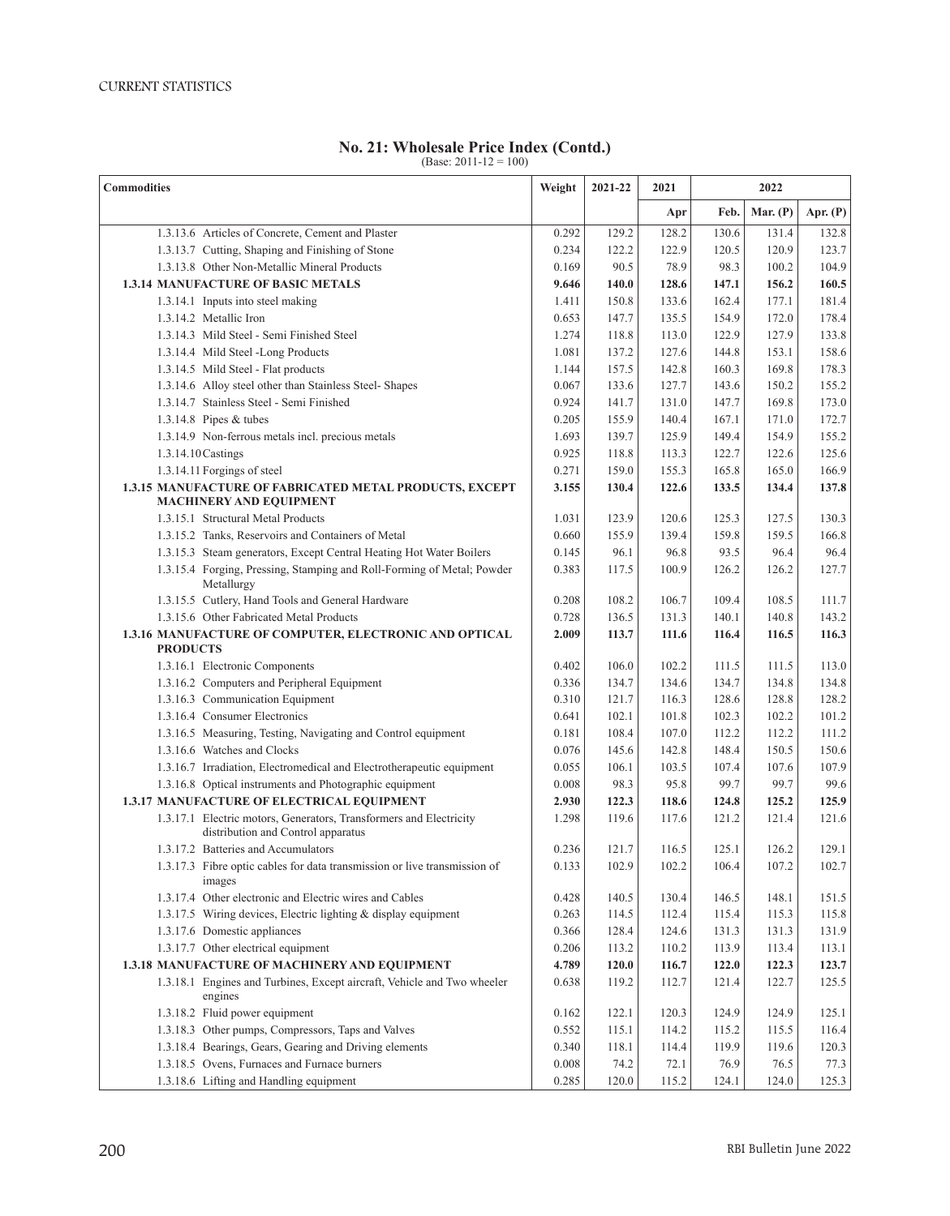## **No. 21: Wholesale Price Index (Contd.)** (Base: 2011-12 = 100)

| <b>Commodities</b>                                                                        |       | 2021-22 | 2021  | 2022  |            |            |
|-------------------------------------------------------------------------------------------|-------|---------|-------|-------|------------|------------|
|                                                                                           |       |         | Apr   | Feb.  | Mar. $(P)$ | Apr. $(P)$ |
| 1.3.13.6 Articles of Concrete, Cement and Plaster                                         | 0.292 | 129.2   | 128.2 | 130.6 | 131.4      | 132.8      |
| 1.3.13.7 Cutting, Shaping and Finishing of Stone                                          | 0.234 | 122.2   | 122.9 | 120.5 | 120.9      | 123.7      |
| 1.3.13.8 Other Non-Metallic Mineral Products                                              | 0.169 | 90.5    | 78.9  | 98.3  | 100.2      | 104.9      |
| <b>1.3.14 MANUFACTURE OF BASIC METALS</b>                                                 | 9.646 | 140.0   | 128.6 | 147.1 | 156.2      | 160.5      |
| 1.3.14.1 Inputs into steel making                                                         | 1.411 | 150.8   | 133.6 | 162.4 | 177.1      | 181.4      |
| 1.3.14.2 Metallic Iron                                                                    | 0.653 | 147.7   | 135.5 | 154.9 | 172.0      | 178.4      |
| 1.3.14.3 Mild Steel - Semi Finished Steel                                                 | 1.274 | 118.8   | 113.0 | 122.9 | 127.9      | 133.8      |
| 1.3.14.4 Mild Steel -Long Products                                                        | 1.081 | 137.2   | 127.6 | 144.8 | 153.1      | 158.6      |
| 1.3.14.5 Mild Steel - Flat products                                                       | 1.144 | 157.5   | 142.8 | 160.3 | 169.8      | 178.3      |
| 1.3.14.6 Alloy steel other than Stainless Steel- Shapes                                   | 0.067 | 133.6   | 127.7 | 143.6 | 150.2      | 155.2      |
| 1.3.14.7 Stainless Steel - Semi Finished                                                  | 0.924 | 141.7   | 131.0 | 147.7 | 169.8      | 173.0      |
| 1.3.14.8 Pipes & tubes                                                                    | 0.205 | 155.9   | 140.4 | 167.1 | 171.0      | 172.7      |
| 1.3.14.9 Non-ferrous metals incl. precious metals                                         | 1.693 | 139.7   | 125.9 | 149.4 | 154.9      | 155.2      |
| 1.3.14.10 Castings                                                                        | 0.925 | 118.8   | 113.3 | 122.7 | 122.6      | 125.6      |
| 1.3.14.11 Forgings of steel                                                               | 0.271 | 159.0   | 155.3 | 165.8 | 165.0      | 166.9      |
| 1.3.15 MANUFACTURE OF FABRICATED METAL PRODUCTS, EXCEPT<br><b>MACHINERY AND EQUIPMENT</b> | 3.155 | 130.4   | 122.6 | 133.5 | 134.4      | 137.8      |
| 1.3.15.1 Structural Metal Products                                                        | 1.031 | 123.9   | 120.6 | 125.3 | 127.5      | 130.3      |
| 1.3.15.2 Tanks, Reservoirs and Containers of Metal                                        | 0.660 | 155.9   | 139.4 | 159.8 | 159.5      | 166.8      |
| 1.3.15.3 Steam generators, Except Central Heating Hot Water Boilers                       | 0.145 | 96.1    | 96.8  | 93.5  | 96.4       | 96.4       |
| 1.3.15.4 Forging, Pressing, Stamping and Roll-Forming of Metal; Powder<br>Metallurgy      | 0.383 | 117.5   | 100.9 | 126.2 | 126.2      | 127.7      |
| 1.3.15.5 Cutlery, Hand Tools and General Hardware                                         | 0.208 | 108.2   | 106.7 | 109.4 | 108.5      | 111.7      |
| 1.3.15.6 Other Fabricated Metal Products                                                  | 0.728 | 136.5   | 131.3 | 140.1 | 140.8      | 143.2      |
| 1.3.16 MANUFACTURE OF COMPUTER, ELECTRONIC AND OPTICAL<br><b>PRODUCTS</b>                 | 2.009 | 113.7   | 111.6 | 116.4 | 116.5      | 116.3      |
| 1.3.16.1 Electronic Components                                                            | 0.402 | 106.0   | 102.2 | 111.5 | 111.5      | 113.0      |
| 1.3.16.2 Computers and Peripheral Equipment                                               | 0.336 | 134.7   | 134.6 | 134.7 | 134.8      | 134.8      |
| 1.3.16.3 Communication Equipment                                                          | 0.310 | 121.7   | 116.3 | 128.6 | 128.8      | 128.2      |
| 1.3.16.4 Consumer Electronics                                                             | 0.641 | 102.1   | 101.8 | 102.3 | 102.2      | 101.2      |
| 1.3.16.5 Measuring, Testing, Navigating and Control equipment                             | 0.181 | 108.4   | 107.0 | 112.2 | 112.2      | 111.2      |
| 1.3.16.6 Watches and Clocks                                                               | 0.076 | 145.6   | 142.8 | 148.4 | 150.5      | 150.6      |
| 1.3.16.7 Irradiation, Electromedical and Electrotherapeutic equipment                     | 0.055 | 106.1   | 103.5 | 107.4 | 107.6      | 107.9      |
| 1.3.16.8 Optical instruments and Photographic equipment                                   | 0.008 | 98.3    | 95.8  | 99.7  | 99.7       | 99.6       |
| 1.3.17 MANUFACTURE OF ELECTRICAL EQUIPMENT                                                | 2.930 | 122.3   | 118.6 | 124.8 | 125.2      | 125.9      |
| 1.3.17.1 Electric motors, Generators, Transformers and Electricity                        | 1.298 | 119.6   | 117.6 | 121.2 | 121.4      | 121.6      |
| distribution and Control apparatus                                                        |       |         |       |       |            |            |
| 1.3.17.2 Batteries and Accumulators                                                       | 0.236 | 121.7   | 116.5 | 125.1 | 126.2      | 129.1      |
| 1.3.17.3 Fibre optic cables for data transmission or live transmission of<br>images       | 0.133 | 102.9   | 102.2 | 106.4 | 107.2      | 102.7      |
| 1.3.17.4 Other electronic and Electric wires and Cables                                   | 0.428 | 140.5   | 130.4 | 146.5 | 148.1      | 151.5      |
| 1.3.17.5 Wiring devices, Electric lighting & display equipment                            | 0.263 | 114.5   | 112.4 | 115.4 | 115.3      | 115.8      |
| 1.3.17.6 Domestic appliances                                                              | 0.366 | 128.4   | 124.6 | 131.3 | 131.3      | 131.9      |
| 1.3.17.7 Other electrical equipment                                                       | 0.206 | 113.2   | 110.2 | 113.9 | 113.4      | 113.1      |
| 1.3.18 MANUFACTURE OF MACHINERY AND EQUIPMENT                                             | 4.789 | 120.0   | 116.7 | 122.0 | 122.3      | 123.7      |
| 1.3.18.1 Engines and Turbines, Except aircraft, Vehicle and Two wheeler<br>engines        | 0.638 | 119.2   | 112.7 | 121.4 | 122.7      | 125.5      |
| 1.3.18.2 Fluid power equipment                                                            | 0.162 | 122.1   | 120.3 | 124.9 | 124.9      | 125.1      |
| 1.3.18.3 Other pumps, Compressors, Taps and Valves                                        | 0.552 | 115.1   | 114.2 | 115.2 | 115.5      | 116.4      |
| 1.3.18.4 Bearings, Gears, Gearing and Driving elements                                    | 0.340 | 118.1   | 114.4 | 119.9 | 119.6      | 120.3      |
| 1.3.18.5 Ovens, Furnaces and Furnace burners                                              | 0.008 | 74.2    | 72.1  | 76.9  | 76.5       | 77.3       |
| 1.3.18.6 Lifting and Handling equipment                                                   | 0.285 | 120.0   | 115.2 | 124.1 | 124.0      | 125.3      |